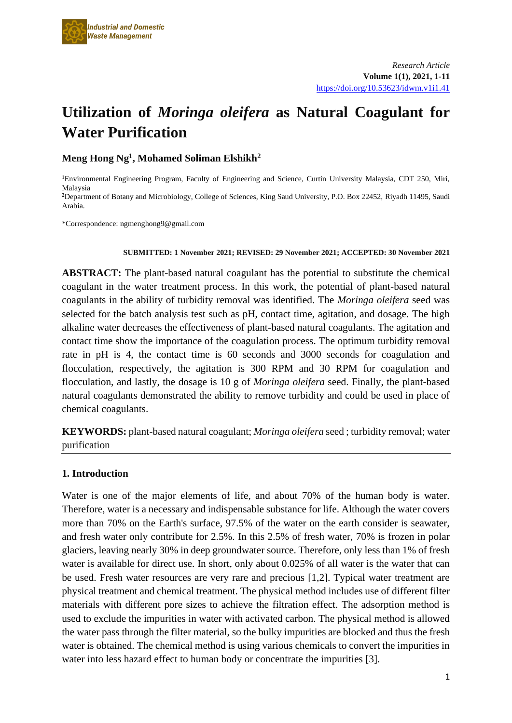

# **Utilization of** *Moringa oleifera* **as Natural Coagulant for Water Purification**

**Meng Hong Ng<sup>1</sup> , Mohamed Soliman Elshikh<sup>2</sup>**

<sup>1</sup>Environmental Engineering Program, Faculty of Engineering and Science, Curtin University Malaysia, CDT 250, Miri, Malaysia **<sup>2</sup>**Department of Botany and Microbiology, College of Sciences, King Saud University, P.O. Box 22452, Riyadh 11495, Saudi Arabia.

\*Correspondence: ngmenghong9@gmail.com

#### **SUBMITTED: 1 November 2021; REVISED: 29 November 2021; ACCEPTED: 30 November 2021**

**ABSTRACT:** The plant-based natural coagulant has the potential to substitute the chemical coagulant in the water treatment process. In this work, the potential of plant-based natural coagulants in the ability of turbidity removal was identified. The *Moringa oleifera* seed was selected for the batch analysis test such as pH, contact time, agitation, and dosage. The high alkaline water decreases the effectiveness of plant-based natural coagulants. The agitation and contact time show the importance of the coagulation process. The optimum turbidity removal rate in pH is 4, the contact time is 60 seconds and 3000 seconds for coagulation and flocculation, respectively, the agitation is 300 RPM and 30 RPM for coagulation and flocculation, and lastly, the dosage is 10 g of *Moringa oleifera* seed. Finally, the plant-based natural coagulants demonstrated the ability to remove turbidity and could be used in place of chemical coagulants.

**KEYWORDS:** plant-based natural coagulant; *Moringa oleifera* seed ; turbidity removal; water purification

# **1. Introduction**

Water is one of the major elements of life, and about 70% of the human body is water. Therefore, water is a necessary and indispensable substance for life. Although the water covers more than 70% on the Earth's surface, 97.5% of the water on the earth consider is seawater, and fresh water only contribute for 2.5%. In this 2.5% of fresh water, 70% is frozen in polar glaciers, leaving nearly 30% in deep groundwater source. Therefore, only less than 1% of fresh water is available for direct use. In short, only about 0.025% of all water is the water that can be used. Fresh water resources are very rare and precious [1,2]. Typical water treatment are physical treatment and chemical treatment. The physical method includes use of different filter materials with different pore sizes to achieve the filtration effect. The adsorption method is used to exclude the impurities in water with activated carbon. The physical method is allowed the water pass through the filter material, so the bulky impurities are blocked and thus the fresh water is obtained. The chemical method is using various chemicals to convert the impurities in water into less hazard effect to human body or concentrate the impurities [3].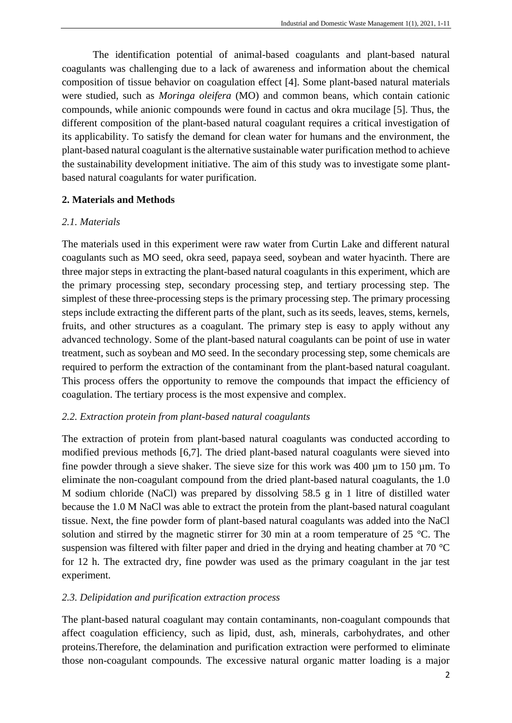The identification potential of animal-based coagulants and plant-based natural coagulants was challenging due to a lack of awareness and information about the chemical composition of tissue behavior on coagulation effect [4]. Some plant-based natural materials were studied, such as *Moringa oleifera* (MO) and common beans, which contain cationic compounds, while anionic compounds were found in cactus and okra mucilage [5]. Thus, the different composition of the plant-based natural coagulant requires a critical investigation of its applicability. To satisfy the demand for clean water for humans and the environment, the plant-based natural coagulant is the alternative sustainable water purification method to achieve the sustainability development initiative. The aim of this study was to investigate some plantbased natural coagulants for water purification.

# **2. Materials and Methods**

#### *2.1. Materials*

The materials used in this experiment were raw water from Curtin Lake and different natural coagulants such as MO seed, okra seed, papaya seed, soybean and water hyacinth. There are three major steps in extracting the plant-based natural coagulants in this experiment, which are the primary processing step, secondary processing step, and tertiary processing step. The simplest of these three-processing steps is the primary processing step. The primary processing steps include extracting the different parts of the plant, such as its seeds, leaves, stems, kernels, fruits, and other structures as a coagulant. The primary step is easy to apply without any advanced technology. Some of the plant-based natural coagulants can be point of use in water treatment, such as soybean and MO seed. In the secondary processing step, some chemicals are required to perform the extraction of the contaminant from the plant-based natural coagulant. This process offers the opportunity to remove the compounds that impact the efficiency of coagulation. The tertiary process is the most expensive and complex.

# *2.2. Extraction protein from plant-based natural coagulants*

The extraction of protein from plant-based natural coagulants was conducted according to modified previous methods [6,7]. The dried plant-based natural coagulants were sieved into fine powder through a sieve shaker. The sieve size for this work was  $400 \mu m$  to  $150 \mu m$ . To eliminate the non-coagulant compound from the dried plant-based natural coagulants, the 1.0 M sodium chloride (NaCl) was prepared by dissolving 58.5 g in 1 litre of distilled water because the 1.0 M NaCl was able to extract the protein from the plant-based natural coagulant tissue. Next, the fine powder form of plant-based natural coagulants was added into the NaCl solution and stirred by the magnetic stirrer for 30 min at a room temperature of 25 °C. The suspension was filtered with filter paper and dried in the drying and heating chamber at 70 °C for 12 h. The extracted dry, fine powder was used as the primary coagulant in the jar test experiment.

#### *2.3. Delipidation and purification extraction process*

The plant-based natural coagulant may contain contaminants, non-coagulant compounds that affect coagulation efficiency, such as lipid, dust, ash, minerals, carbohydrates, and other proteins.Therefore, the delamination and purification extraction were performed to eliminate those non-coagulant compounds. The excessive natural organic matter loading is a major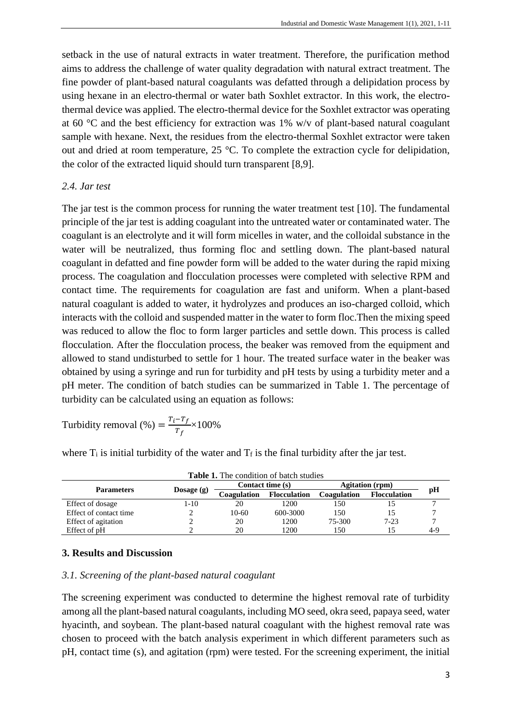setback in the use of natural extracts in water treatment. Therefore, the purification method aims to address the challenge of water quality degradation with natural extract treatment. The fine powder of plant-based natural coagulants was defatted through a delipidation process by using hexane in an electro-thermal or water bath Soxhlet extractor. In this work, the electrothermal device was applied. The electro-thermal device for the Soxhlet extractor was operating at 60 °C and the best efficiency for extraction was 1% w/v of plant-based natural coagulant sample with hexane. Next, the residues from the electro-thermal Soxhlet extractor were taken out and dried at room temperature, 25 °C. To complete the extraction cycle for delipidation, the color of the extracted liquid should turn transparent [8,9].

#### *2.4. Jar test*

The jar test is the common process for running the water treatment test [10]. The fundamental principle of the jar test is adding coagulant into the untreated water or contaminated water. The coagulant is an electrolyte and it will form micelles in water, and the colloidal substance in the water will be neutralized, thus forming floc and settling down. The plant-based natural coagulant in defatted and fine powder form will be added to the water during the rapid mixing process. The coagulation and flocculation processes were completed with selective RPM and contact time. The requirements for coagulation are fast and uniform. When a plant-based natural coagulant is added to water, it hydrolyzes and produces an iso-charged colloid, which interacts with the colloid and suspended matter in the water to form floc.Then the mixing speed was reduced to allow the floc to form larger particles and settle down. This process is called flocculation. After the flocculation process, the beaker was removed from the equipment and allowed to stand undisturbed to settle for 1 hour. The treated surface water in the beaker was obtained by using a syringe and run for turbidity and pH tests by using a turbidity meter and a pH meter. The condition of batch studies can be summarized in Table 1. The percentage of turbidity can be calculated using an equation as follows:

Turbidity removal (%) = 
$$
\frac{T_i - T_f}{T_f} \times 100\%
$$

where  $T_i$  is initial turbidity of the water and  $T_f$  is the final turbidity after the jar test.

| <b>Table 1.</b> The condition of batch studies |            |                  |                     |                        |                     |     |
|------------------------------------------------|------------|------------------|---------------------|------------------------|---------------------|-----|
| <b>Parameters</b>                              | Dosage (g) | Contact time (s) |                     | <b>Agitation</b> (rpm) |                     |     |
|                                                |            | Coagulation      | <b>Flocculation</b> | Coagulation            | <b>Flocculation</b> | pН  |
| Effect of dosage                               | 1-10       | 20               | 1200                | 150                    |                     |     |
| Effect of contact time                         |            | $10-60$          | 600-3000            | 150                    |                     |     |
| Effect of agitation                            |            | 20               | 1200                | 75-300                 | $7 - 23$            |     |
| Effect of pH                                   |            | 20               | 1200                | 150                    |                     | 4-9 |

#### **3. Results and Discussion**

#### *3.1. Screening of the plant-based natural coagulant*

The screening experiment was conducted to determine the highest removal rate of turbidity among all the plant-based natural coagulants, including MO seed, okra seed, papaya seed, water hyacinth, and soybean. The plant-based natural coagulant with the highest removal rate was chosen to proceed with the batch analysis experiment in which different parameters such as pH, contact time (s), and agitation (rpm) were tested. For the screening experiment, the initial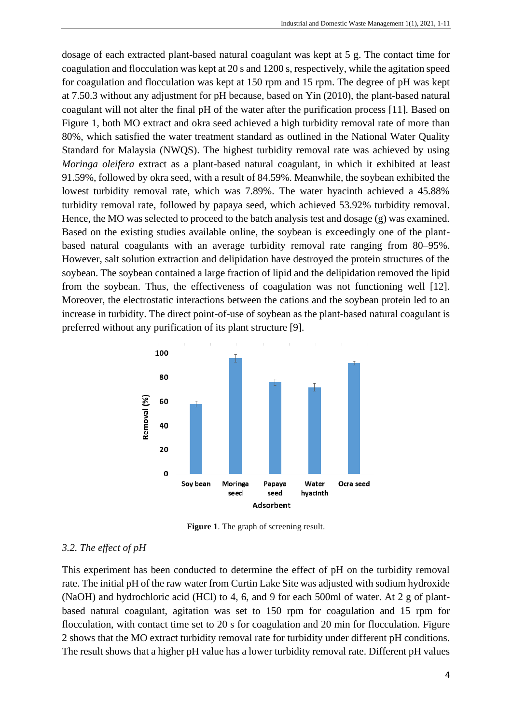dosage of each extracted plant-based natural coagulant was kept at 5 g. The contact time for coagulation and flocculation was kept at 20 s and 1200 s, respectively, while the agitation speed for coagulation and flocculation was kept at 150 rpm and 15 rpm. The degree of pH was kept at 7.50.3 without any adjustment for pH because, based on Yin (2010), the plant-based natural coagulant will not alter the final pH of the water after the purification process [11]. Based on Figure 1, both MO extract and okra seed achieved a high turbidity removal rate of more than 80%, which satisfied the water treatment standard as outlined in the National Water Quality Standard for Malaysia (NWQS). The highest turbidity removal rate was achieved by using *Moringa oleifera* extract as a plant-based natural coagulant, in which it exhibited at least 91.59%, followed by okra seed, with a result of 84.59%. Meanwhile, the soybean exhibited the lowest turbidity removal rate, which was 7.89%. The water hyacinth achieved a 45.88% turbidity removal rate, followed by papaya seed, which achieved 53.92% turbidity removal. Hence, the MO was selected to proceed to the batch analysis test and dosage (g) was examined. Based on the existing studies available online, the soybean is exceedingly one of the plantbased natural coagulants with an average turbidity removal rate ranging from 80–95%. However, salt solution extraction and delipidation have destroyed the protein structures of the soybean. The soybean contained a large fraction of lipid and the delipidation removed the lipid from the soybean. Thus, the effectiveness of coagulation was not functioning well [12]. Moreover, the electrostatic interactions between the cations and the soybean protein led to an increase in turbidity. The direct point-of-use of soybean as the plant-based natural coagulant is preferred without any purification of its plant structure [9].



**Figure 1**. The graph of screening result.

# *3.2. The effect of pH*

This experiment has been conducted to determine the effect of pH on the turbidity removal rate. The initial pH of the raw water from Curtin Lake Site was adjusted with sodium hydroxide (NaOH) and hydrochloric acid (HCl) to 4, 6, and 9 for each 500ml of water. At 2 g of plantbased natural coagulant, agitation was set to 150 rpm for coagulation and 15 rpm for flocculation, with contact time set to 20 s for coagulation and 20 min for flocculation. Figure 2 shows that the MO extract turbidity removal rate for turbidity under different pH conditions. The result shows that a higher pH value has a lower turbidity removal rate. Different pH values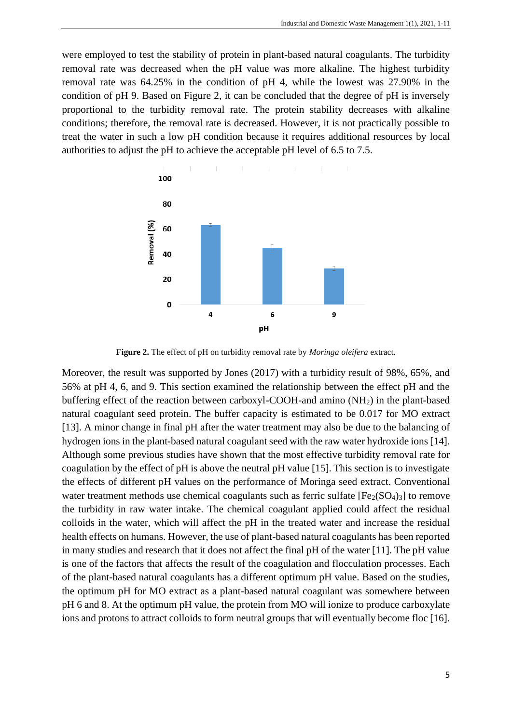were employed to test the stability of protein in plant-based natural coagulants. The turbidity removal rate was decreased when the pH value was more alkaline. The highest turbidity removal rate was 64.25% in the condition of pH 4, while the lowest was 27.90% in the condition of pH 9. Based on Figure 2, it can be concluded that the degree of pH is inversely proportional to the turbidity removal rate. The protein stability decreases with alkaline conditions; therefore, the removal rate is decreased. However, it is not practically possible to treat the water in such a low pH condition because it requires additional resources by local authorities to adjust the pH to achieve the acceptable pH level of 6.5 to 7.5.



**Figure 2.** The effect of pH on turbidity removal rate by *Moringa oleifera* extract.

Moreover, the result was supported by Jones (2017) with a turbidity result of 98%, 65%, and 56% at pH 4, 6, and 9. This section examined the relationship between the effect pH and the buffering effect of the reaction between carboxyl-COOH-and amino (NH2) in the plant-based natural coagulant seed protein. The buffer capacity is estimated to be 0.017 for MO extract [13]. A minor change in final pH after the water treatment may also be due to the balancing of hydrogen ions in the plant-based natural coagulant seed with the raw water hydroxide ions [14]. Although some previous studies have shown that the most effective turbidity removal rate for coagulation by the effect of pH is above the neutral pH value [15]. This section is to investigate the effects of different pH values on the performance of Moringa seed extract. Conventional water treatment methods use chemical coagulants such as ferric sulfate  $[Fe<sub>2</sub>(SO<sub>4</sub>)<sub>3</sub>]$  to remove the turbidity in raw water intake. The chemical coagulant applied could affect the residual colloids in the water, which will affect the pH in the treated water and increase the residual health effects on humans. However, the use of plant-based natural coagulants has been reported in many studies and research that it does not affect the final pH of the water [11]. The pH value is one of the factors that affects the result of the coagulation and flocculation processes. Each of the plant-based natural coagulants has a different optimum pH value. Based on the studies, the optimum pH for MO extract as a plant-based natural coagulant was somewhere between pH 6 and 8. At the optimum pH value, the protein from MO will ionize to produce carboxylate ions and protons to attract colloids to form neutral groups that will eventually become floc [16].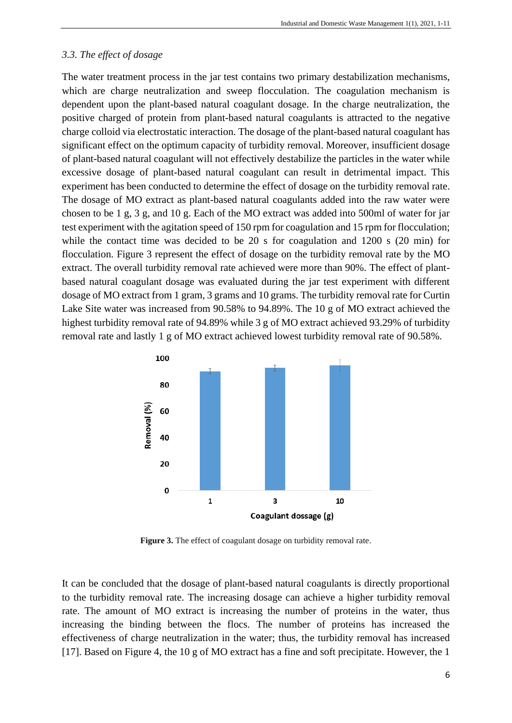### *3.3. The effect of dosage*

The water treatment process in the jar test contains two primary destabilization mechanisms, which are charge neutralization and sweep flocculation. The coagulation mechanism is dependent upon the plant-based natural coagulant dosage. In the charge neutralization, the positive charged of protein from plant-based natural coagulants is attracted to the negative charge colloid via electrostatic interaction. The dosage of the plant-based natural coagulant has significant effect on the optimum capacity of turbidity removal. Moreover, insufficient dosage of plant-based natural coagulant will not effectively destabilize the particles in the water while excessive dosage of plant-based natural coagulant can result in detrimental impact. This experiment has been conducted to determine the effect of dosage on the turbidity removal rate. The dosage of MO extract as plant-based natural coagulants added into the raw water were chosen to be 1 g, 3 g, and 10 g. Each of the MO extract was added into 500ml of water for jar test experiment with the agitation speed of 150 rpm for coagulation and 15 rpm for flocculation; while the contact time was decided to be 20 s for coagulation and 1200 s (20 min) for flocculation. Figure 3 represent the effect of dosage on the turbidity removal rate by the MO extract. The overall turbidity removal rate achieved were more than 90%. The effect of plantbased natural coagulant dosage was evaluated during the jar test experiment with different dosage of MO extract from 1 gram, 3 grams and 10 grams. The turbidity removal rate for Curtin Lake Site water was increased from 90.58% to 94.89%. The 10 g of MO extract achieved the highest turbidity removal rate of 94.89% while 3 g of MO extract achieved 93.29% of turbidity removal rate and lastly 1 g of MO extract achieved lowest turbidity removal rate of 90.58%.



Figure 3. The effect of coagulant dosage on turbidity removal rate.

It can be concluded that the dosage of plant-based natural coagulants is directly proportional to the turbidity removal rate. The increasing dosage can achieve a higher turbidity removal rate. The amount of MO extract is increasing the number of proteins in the water, thus increasing the binding between the flocs. The number of proteins has increased the effectiveness of charge neutralization in the water; thus, the turbidity removal has increased [17]. Based on Figure 4, the 10 g of MO extract has a fine and soft precipitate. However, the 1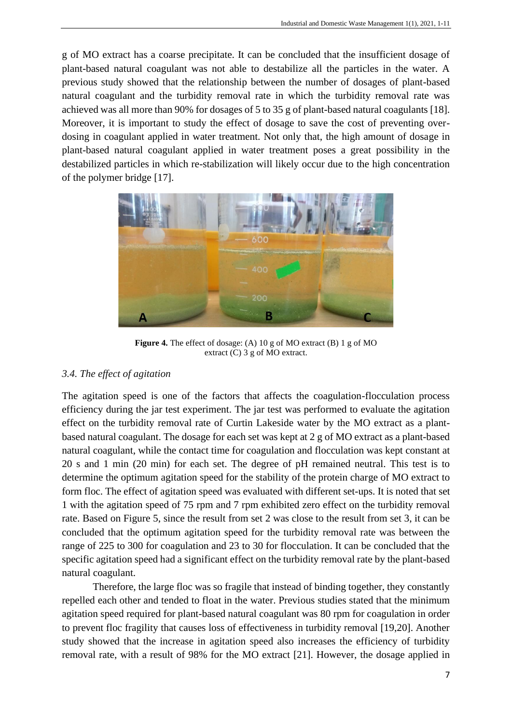g of MO extract has a coarse precipitate. It can be concluded that the insufficient dosage of plant-based natural coagulant was not able to destabilize all the particles in the water. A previous study showed that the relationship between the number of dosages of plant-based natural coagulant and the turbidity removal rate in which the turbidity removal rate was achieved was all more than 90% for dosages of 5 to 35 g of plant-based natural coagulants [18]. Moreover, it is important to study the effect of dosage to save the cost of preventing overdosing in coagulant applied in water treatment. Not only that, the high amount of dosage in plant-based natural coagulant applied in water treatment poses a great possibility in the destabilized particles in which re-stabilization will likely occur due to the high concentration of the polymer bridge [17].



**Figure 4.** The effect of dosage: (A) 10 g of MO extract (B) 1 g of MO extract (C) 3 g of MO extract.

# *3.4. The effect of agitation*

The agitation speed is one of the factors that affects the coagulation-flocculation process efficiency during the jar test experiment. The jar test was performed to evaluate the agitation effect on the turbidity removal rate of Curtin Lakeside water by the MO extract as a plantbased natural coagulant. The dosage for each set was kept at 2 g of MO extract as a plant-based natural coagulant, while the contact time for coagulation and flocculation was kept constant at 20 s and 1 min (20 min) for each set. The degree of pH remained neutral. This test is to determine the optimum agitation speed for the stability of the protein charge of MO extract to form floc. The effect of agitation speed was evaluated with different set-ups. It is noted that set 1 with the agitation speed of 75 rpm and 7 rpm exhibited zero effect on the turbidity removal rate. Based on Figure 5, since the result from set 2 was close to the result from set 3, it can be concluded that the optimum agitation speed for the turbidity removal rate was between the range of 225 to 300 for coagulation and 23 to 30 for flocculation. It can be concluded that the specific agitation speed had a significant effect on the turbidity removal rate by the plant-based natural coagulant.

Therefore, the large floc was so fragile that instead of binding together, they constantly repelled each other and tended to float in the water. Previous studies stated that the minimum agitation speed required for plant-based natural coagulant was 80 rpm for coagulation in order to prevent floc fragility that causes loss of effectiveness in turbidity removal [19,20]. Another study showed that the increase in agitation speed also increases the efficiency of turbidity removal rate, with a result of 98% for the MO extract [21]. However, the dosage applied in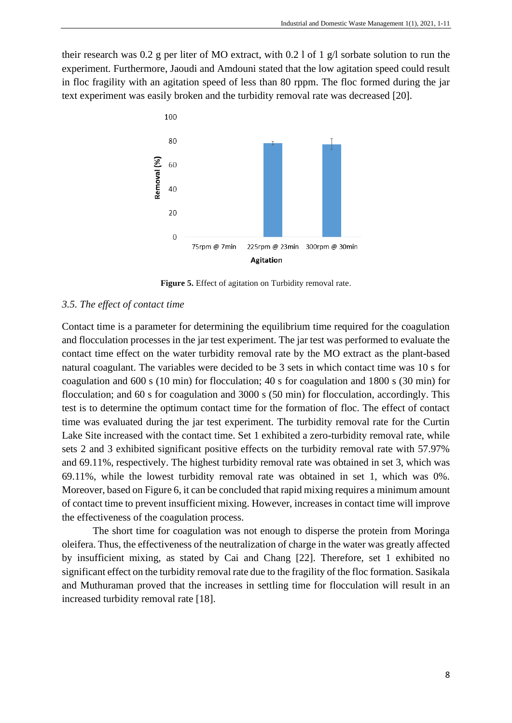their research was 0.2 g per liter of MO extract, with 0.2 l of 1  $g/$ l sorbate solution to run the experiment. Furthermore, Jaoudi and Amdouni stated that the low agitation speed could result in floc fragility with an agitation speed of less than 80 rppm. The floc formed during the jar text experiment was easily broken and the turbidity removal rate was decreased [20].



**Figure 5.** Effect of agitation on Turbidity removal rate.

#### *3.5. The effect of contact time*

Contact time is a parameter for determining the equilibrium time required for the coagulation and flocculation processes in the jar test experiment. The jar test was performed to evaluate the contact time effect on the water turbidity removal rate by the MO extract as the plant-based natural coagulant. The variables were decided to be 3 sets in which contact time was 10 s for coagulation and 600 s (10 min) for flocculation; 40 s for coagulation and 1800 s (30 min) for flocculation; and 60 s for coagulation and 3000 s (50 min) for flocculation, accordingly. This test is to determine the optimum contact time for the formation of floc. The effect of contact time was evaluated during the jar test experiment. The turbidity removal rate for the Curtin Lake Site increased with the contact time. Set 1 exhibited a zero-turbidity removal rate, while sets 2 and 3 exhibited significant positive effects on the turbidity removal rate with 57.97% and 69.11%, respectively. The highest turbidity removal rate was obtained in set 3, which was 69.11%, while the lowest turbidity removal rate was obtained in set 1, which was 0%. Moreover, based on Figure 6, it can be concluded that rapid mixing requires a minimum amount of contact time to prevent insufficient mixing. However, increases in contact time will improve the effectiveness of the coagulation process.

The short time for coagulation was not enough to disperse the protein from Moringa oleifera. Thus, the effectiveness of the neutralization of charge in the water was greatly affected by insufficient mixing, as stated by Cai and Chang [22]. Therefore, set 1 exhibited no significant effect on the turbidity removal rate due to the fragility of the floc formation. Sasikala and Muthuraman proved that the increases in settling time for flocculation will result in an increased turbidity removal rate [18].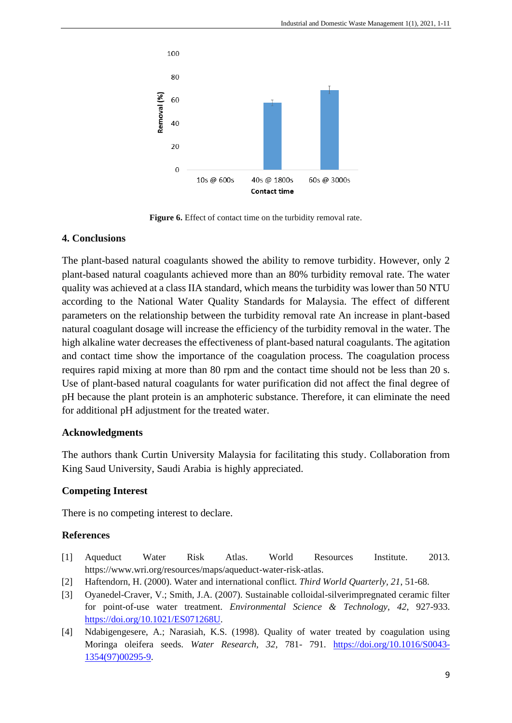

Figure 6. Effect of contact time on the turbidity removal rate.

# **4. Conclusions**

The plant-based natural coagulants showed the ability to remove turbidity. However, only 2 plant-based natural coagulants achieved more than an 80% turbidity removal rate. The water quality was achieved at a class IIA standard, which means the turbidity was lower than 50 NTU according to the National Water Quality Standards for Malaysia. The effect of different parameters on the relationship between the turbidity removal rate An increase in plant-based natural coagulant dosage will increase the efficiency of the turbidity removal in the water. The high alkaline water decreases the effectiveness of plant-based natural coagulants. The agitation and contact time show the importance of the coagulation process. The coagulation process requires rapid mixing at more than 80 rpm and the contact time should not be less than 20 s. Use of plant-based natural coagulants for water purification did not affect the final degree of pH because the plant protein is an amphoteric substance. Therefore, it can eliminate the need for additional pH adjustment for the treated water.

# **Acknowledgments**

The authors thank Curtin University Malaysia for facilitating this study. Collaboration from King Saud University, Saudi Arabia is highly appreciated.

# **Competing Interest**

There is no competing interest to declare.

# **References**

- [1] Aqueduct Water Risk Atlas. World Resources Institute. 2013. https://www.wri.org/resources/maps/aqueduct-water-risk-atlas.
- [2] Haftendorn, H. (2000). Water and international conflict. *Third World Quarterly, 21*, 51-68.
- [3] Oyanedel-Craver, V.; Smith, J.A. (2007). Sustainable colloidal-silverimpregnated ceramic filter for point-of-use water treatment. *Environmental Science & Technology, 42*, 927-933. [https://doi.org/10.1021/ES071268U.](https://doi.org/10.1021/ES071268U)
- [4] Ndabigengesere, A.; Narasiah, K.S. (1998). Quality of water treated by coagulation using Moringa oleifera seeds. *Water Research, 32,* 781- 791. [https://doi.org/10.1016/S0043-](https://doi.org/10.1016/S0043-1354(97)00295-9) [1354\(97\)00295-9.](https://doi.org/10.1016/S0043-1354(97)00295-9)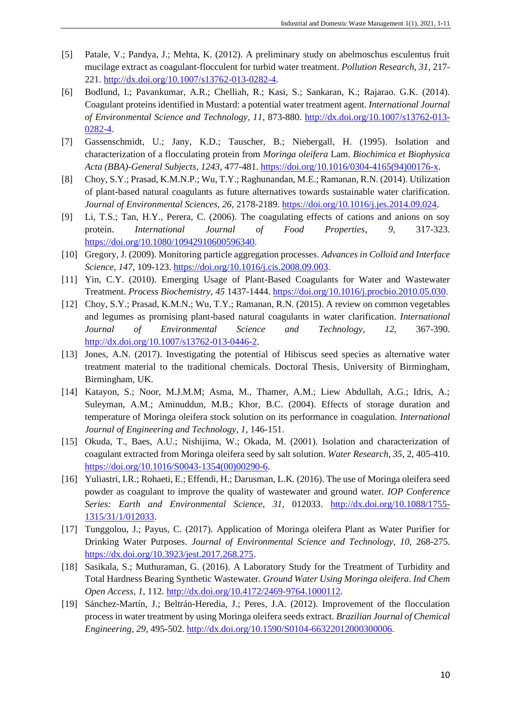- [5] Patale, V.; Pandya, J.; Mehta, K. (2012). A preliminary study on abelmoschus esculentus fruit mucilage extract as coagulant-flocculent for turbid water treatment. *Pollution Research, 31*, 217- 221. [http://dx.doi.org/10.1007/s13762-013-0282-4.](http://dx.doi.org/10.1007/s13762-013-0282-4)
- [6] Bodlund, I.; Pavankumar, A.R.; Chelliah, R.; Kasi, S.; Sankaran, K.; Rajarao. G.K. (2014). Coagulant proteins identified in Mustard: a potential water treatment agent. *International Journal of Environmental Science and Technology, 11*, 873-880. [http://dx.doi.org/10.1007/s13762-013-](http://dx.doi.org/10.1007/s13762-013-0282-4) [0282-4.](http://dx.doi.org/10.1007/s13762-013-0282-4)
- [7] Gassenschmidt, U.; Jany, K.D.; Tauscher, B.; Niebergall, H. (1995). Isolation and characterization of a flocculating protein from *Moringa oleifera* Lam. *Biochimica et Biophysica Acta (BBA)-General Subjects, 1243*, 477-481. [https://doi.org/10.1016/0304-4165\(94\)00176-x.](https://doi.org/10.1016/0304-4165(94)00176-x)
- [8] Choy, S.Y.; Prasad, K.M.N.P.; Wu, T.Y.; Raghunandan, M.E.; Ramanan, R.N. (2014). Utilization of plant-based natural coagulants as future alternatives towards sustainable water clarification. *Journal of Environmental Sciences, 26*, 2178-2189. [https://doi.org/10.1016/j.jes.2014.09.024.](https://doi.org/10.1016/j.jes.2014.09.024)
- [9] Li, T.S.; Tan, H.Y., Perera, C. (2006). The coagulating effects of cations and anions on soy protein. *International Journal of Food Properties*, *9*, 317-323. [https://doi.org/10.1080/10942910600596340.](https://doi.org/10.1080/10942910600596340)
- [10] Gregory, J. (2009). Monitoring particle aggregation processes. *Advances in Colloid and Interface Science, 147*, 109-123. [https://doi.org/10.1016/j.cis.2008.09.003.](https://doi.org/10.1016/j.cis.2008.09.003)
- [11] Yin, C.Y. (2010). Emerging Usage of Plant-Based Coagulants for Water and Wastewater Treatment. *Process Biochemistry, 45* 1437-1444. [https://doi.org/10.1016/j.procbio.2010.05.030.](https://doi.org/10.1016/j.procbio.2010.05.030)
- [12] Choy, S.Y.; Prasad, K.M.N.; Wu, T.Y.; Ramanan, R.N. (2015). A review on common vegetables and legumes as promising plant-based natural coagulants in water clarification. *International Journal of Environmental Science and Technology*, *12*, 367-390. [http://dx.doi.org/10.1007/s13762-013-0446-2.](http://dx.doi.org/10.1007/s13762-013-0446-2)
- [13] Jones, A.N. (2017). Investigating the potential of Hibiscus seed species as alternative water treatment material to the traditional chemicals. Doctoral Thesis, University of Birmingham, Birmingham, UK.
- [14] Katayon, S.; Noor, M.J.M.M; Asma, M., Thamer, A.M.; Liew Abdullah, A.G.; Idris, A.; Suleyman, A.M.; Aminuddun, M.B.; Khor, B.C. (2004). Effects of storage duration and temperature of Moringa oleifera stock solution on its performance in coagulation. *International Journal of Engineering and Technology*, *1*, 146-151.
- [15] Okuda, T., Baes, A.U.; Nishijima, W.; Okada, M. (2001). Isolation and characterization of coagulant extracted from Moringa oleifera seed by salt solution. *Water Research, 35,* 2, 405-410. [https://doi.org/10.1016/S0043-1354\(00\)00290-6.](https://doi.org/10.1016/S0043-1354(00)00290-6)
- [16] Yuliastri, I.R.; Rohaeti, E.; Effendi, H.; Darusman, L.K. (2016). The use of Moringa oleifera seed powder as coagulant to improve the quality of wastewater and ground water. *IOP Conference*  Series: Earth and Environmental Science, 31, 012033. [http://dx.doi.org/10.1088/1755-](http://dx.doi.org/10.1088/1755-1315/31/1/012033) [1315/31/1/012033.](http://dx.doi.org/10.1088/1755-1315/31/1/012033)
- [17] Tunggolou, J.; Payus, C. (2017). Application of Moringa oleifera Plant as Water Purifier for Drinking Water Purposes. *Journal of Environmental Science and Technology*, *10*, 268-275. [https://dx.doi.org/10.3923/jest.2017.268.275.](https://dx.doi.org/10.3923/jest.2017.268.275)
- [18] Sasikala, S.; Muthuraman, G. (2016). A Laboratory Study for the Treatment of Turbidity and Total Hardness Bearing Synthetic Wastewater. *Ground Water Using Moringa oleifera. Ind Chem Open Access*, *1*, 112[. http://dx.doi.org/10.4172/2469-9764.1000112.](http://dx.doi.org/10.4172/2469-9764.1000112)
- [19] Sánchez-Martín, J.; Beltrán-Heredia, J.; Peres, J.A. (2012). Improvement of the flocculation process in water treatment by using Moringa oleifera seeds extract. *Brazilian Journal of Chemical Engineering*, *29*, 495-502. [http://dx.doi.org/10.1590/S0104-66322012000300006.](http://dx.doi.org/10.1590/S0104-66322012000300006)